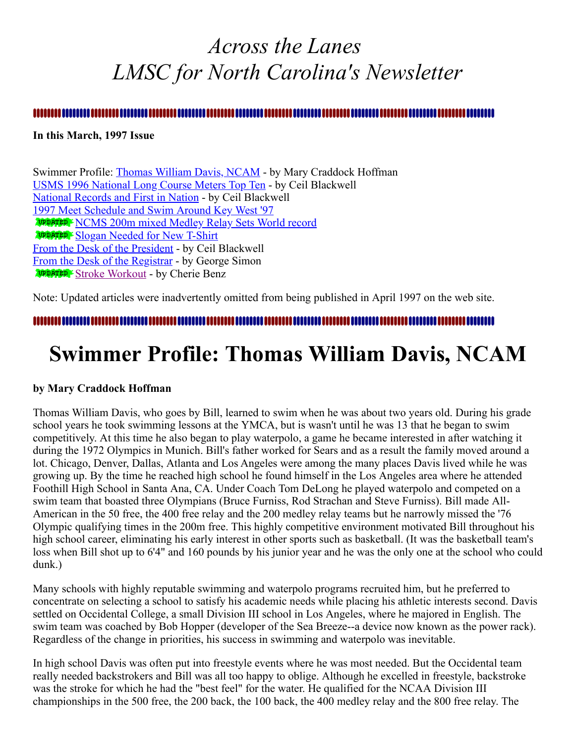## <span id="page-0-1"></span>*Across the Lanes LMSC for North Carolina's Newsletter*

#### **In this March, 1997 Issue**

Swimmer Profile: [Thomas William Davis, NCAM](#page-0-0) - by Mary Craddock Hoffman [USMS 1996 National Long Course Meters Top Ten](#page-2-0) - by Ceil Blackwell [National Records and First in Nation](#page-3-0) - by Ceil Blackwell [1997 Meet Schedule and Swim Around Key West '97](#page-3-1) [NCMS 200m mixed Medley Relay Sets World record](#page-5-0) [Slogan Needed for New T-Shirt](#page-5-1) [From the Desk of the President](#page-6-0) - by Ceil Blackwell [From the Desk of the Registrar](#page-6-1) - by George Simon [Stroke Workout](#page-7-0) - by Cherie Benz

Note: Updated articles were inadvertently omitted from being published in April 1997 on the web site.

<span id="page-0-0"></span>

## **Swimmer Profile: Thomas William Davis, NCAM**

#### **by Mary Craddock Hoffman**

Thomas William Davis, who goes by Bill, learned to swim when he was about two years old. During his grade school years he took swimming lessons at the YMCA, but is wasn't until he was 13 that he began to swim competitively. At this time he also began to play waterpolo, a game he became interested in after watching it during the 1972 Olympics in Munich. Bill's father worked for Sears and as a result the family moved around a lot. Chicago, Denver, Dallas, Atlanta and Los Angeles were among the many places Davis lived while he was growing up. By the time he reached high school he found himself in the Los Angeles area where he attended Foothill High School in Santa Ana, CA. Under Coach Tom DeLong he played waterpolo and competed on a swim team that boasted three Olympians (Bruce Furniss, Rod Strachan and Steve Furniss). Bill made All-American in the 50 free, the 400 free relay and the 200 medley relay teams but he narrowly missed the '76 Olympic qualifying times in the 200m free. This highly competitive environment motivated Bill throughout his high school career, eliminating his early interest in other sports such as basketball. (It was the basketball team's loss when Bill shot up to 6'4" and 160 pounds by his junior year and he was the only one at the school who could dunk.)

Many schools with highly reputable swimming and waterpolo programs recruited him, but he preferred to concentrate on selecting a school to satisfy his academic needs while placing his athletic interests second. Davis settled on Occidental College, a small Division III school in Los Angeles, where he majored in English. The swim team was coached by Bob Hopper (developer of the Sea Breeze--a device now known as the power rack). Regardless of the change in priorities, his success in swimming and waterpolo was inevitable.

In high school Davis was often put into freestyle events where he was most needed. But the Occidental team really needed backstrokers and Bill was all too happy to oblige. Although he excelled in freestyle, backstroke was the stroke for which he had the "best feel" for the water. He qualified for the NCAA Division III championships in the 500 free, the 200 back, the 100 back, the 400 medley relay and the 800 free relay. The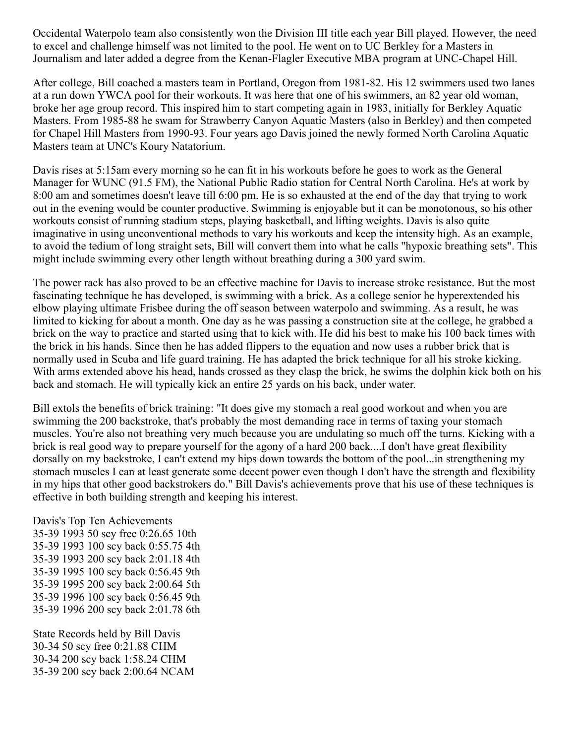Occidental Waterpolo team also consistently won the Division III title each year Bill played. However, the need to excel and challenge himself was not limited to the pool. He went on to UC Berkley for a Masters in Journalism and later added a degree from the Kenan-Flagler Executive MBA program at UNC-Chapel Hill.

After college, Bill coached a masters team in Portland, Oregon from 1981-82. His 12 swimmers used two lanes at a run down YWCA pool for their workouts. It was here that one of his swimmers, an 82 year old woman, broke her age group record. This inspired him to start competing again in 1983, initially for Berkley Aquatic Masters. From 1985-88 he swam for Strawberry Canyon Aquatic Masters (also in Berkley) and then competed for Chapel Hill Masters from 1990-93. Four years ago Davis joined the newly formed North Carolina Aquatic Masters team at UNC's Koury Natatorium.

Davis rises at 5:15am every morning so he can fit in his workouts before he goes to work as the General Manager for WUNC (91.5 FM), the National Public Radio station for Central North Carolina. He's at work by 8:00 am and sometimes doesn't leave till 6:00 pm. He is so exhausted at the end of the day that trying to work out in the evening would be counter productive. Swimming is enjoyable but it can be monotonous, so his other workouts consist of running stadium steps, playing basketball, and lifting weights. Davis is also quite imaginative in using unconventional methods to vary his workouts and keep the intensity high. As an example, to avoid the tedium of long straight sets, Bill will convert them into what he calls "hypoxic breathing sets". This might include swimming every other length without breathing during a 300 yard swim.

The power rack has also proved to be an effective machine for Davis to increase stroke resistance. But the most fascinating technique he has developed, is swimming with a brick. As a college senior he hyperextended his elbow playing ultimate Frisbee during the off season between waterpolo and swimming. As a result, he was limited to kicking for about a month. One day as he was passing a construction site at the college, he grabbed a brick on the way to practice and started using that to kick with. He did his best to make his 100 back times with the brick in his hands. Since then he has added flippers to the equation and now uses a rubber brick that is normally used in Scuba and life guard training. He has adapted the brick technique for all his stroke kicking. With arms extended above his head, hands crossed as they clasp the brick, he swims the dolphin kick both on his back and stomach. He will typically kick an entire 25 yards on his back, under water.

Bill extols the benefits of brick training: "It does give my stomach a real good workout and when you are swimming the 200 backstroke, that's probably the most demanding race in terms of taxing your stomach muscles. You're also not breathing very much because you are undulating so much off the turns. Kicking with a brick is real good way to prepare yourself for the agony of a hard 200 back....I don't have great flexibility dorsally on my backstroke, I can't extend my hips down towards the bottom of the pool...in strengthening my stomach muscles I can at least generate some decent power even though I don't have the strength and flexibility in my hips that other good backstrokers do." Bill Davis's achievements prove that his use of these techniques is effective in both building strength and keeping his interest.

Davis's Top Ten Achievements 35-39 1993 50 scy free 0:26.65 10th 35-39 1993 100 scy back 0:55.75 4th 35-39 1993 200 scy back 2:01.18 4th 35-39 1995 100 scy back 0:56.45 9th 35-39 1995 200 scy back 2:00.64 5th 35-39 1996 100 scy back 0:56.45 9th 35-39 1996 200 scy back 2:01.78 6th

State Records held by Bill Davis 30-34 50 scy free 0:21.88 CHM 30-34 200 scy back 1:58.24 CHM 35-39 200 scy back 2:00.64 NCAM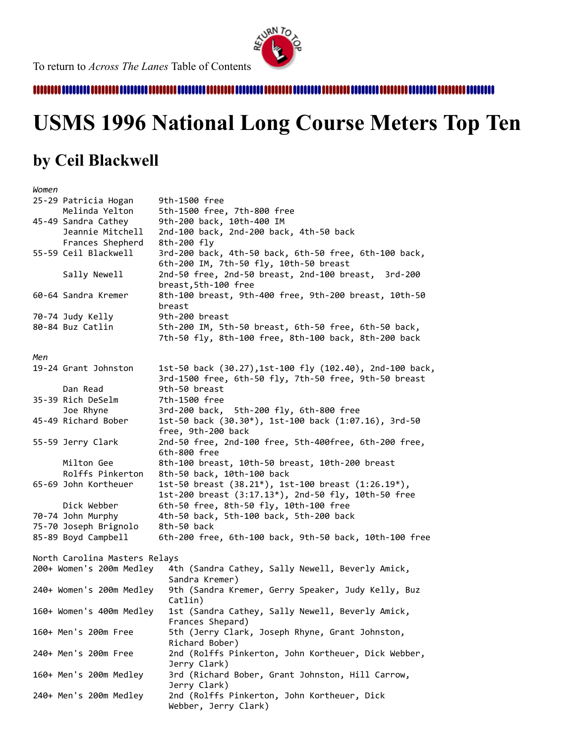

,,,,,,,,,,,,,,,,,,,,,,,,

# <span id="page-2-0"></span>**USMS 1996 National Long Course Meters Top Ten**

### **by Ceil Blackwell**

| Women |                               |                                                                                                                   |
|-------|-------------------------------|-------------------------------------------------------------------------------------------------------------------|
|       | 25-29 Patricia Hogan          | 9th-1500 free                                                                                                     |
|       | Melinda Yelton                | 5th-1500 free, 7th-800 free                                                                                       |
|       | 45-49 Sandra Cathey           | 9th-200 back, 10th-400 IM                                                                                         |
|       | Jeannie Mitchell              | 2nd-100 back, 2nd-200 back, 4th-50 back                                                                           |
|       | Frances Shepherd              | 8th-200 fly                                                                                                       |
|       | 55-59 Ceil Blackwell          | 3rd-200 back, 4th-50 back, 6th-50 free, 6th-100 back,<br>6th-200 IM, 7th-50 fly, 10th-50 breast                   |
|       | Sally Newell                  | 2nd-50 free, 2nd-50 breast, 2nd-100 breast, 3rd-200<br>breast, 5th-100 free                                       |
|       | 60-64 Sandra Kremer           | 8th-100 breast, 9th-400 free, 9th-200 breast, 10th-50<br>breast                                                   |
|       | 70-74 Judy Kelly              | 9th-200 breast                                                                                                    |
|       | 80-84 Buz Catlin              | 5th-200 IM, 5th-50 breast, 6th-50 free, 6th-50 back,<br>7th-50 fly, 8th-100 free, 8th-100 back, 8th-200 back      |
|       |                               |                                                                                                                   |
| Men   |                               |                                                                                                                   |
|       | 19-24 Grant Johnston          | 1st-50 back (30.27), 1st-100 fly (102.40), 2nd-100 back,<br>3rd-1500 free, 6th-50 fly, 7th-50 free, 9th-50 breast |
|       | Dan Read                      | 9th-50 breast                                                                                                     |
|       | 35-39 Rich DeSelm             | 7th-1500 free                                                                                                     |
|       | Joe Rhyne                     | 3rd-200 back, 5th-200 fly, 6th-800 free                                                                           |
|       | 45-49 Richard Bober           | 1st-50 back (30.30*), 1st-100 back (1:07.16), 3rd-50<br>free, 9th-200 back                                        |
|       | 55-59 Jerry Clark             | 2nd-50 free, 2nd-100 free, 5th-400free, 6th-200 free,<br>6th-800 free                                             |
|       | Milton Gee                    | 8th-100 breast, 10th-50 breast, 10th-200 breast                                                                   |
|       | Rolffs Pinkerton              | 8th-50 back, 10th-100 back                                                                                        |
|       | 65-69 John Kortheuer          | 1st-50 breast $(38.21^*)$ , 1st-100 breast $(1:26.19^*)$ ,<br>1st-200 breast (3:17.13*), 2nd-50 fly, 10th-50 free |
|       | Dick Webber                   | 6th-50 free, 8th-50 fly, 10th-100 free                                                                            |
|       | 70-74 John Murphy             | 4th-50 back, 5th-100 back, 5th-200 back                                                                           |
|       | 75-70 Joseph Brignolo         | 8th-50 back                                                                                                       |
|       | 85-89 Boyd Campbell           | 6th-200 free, 6th-100 back, 9th-50 back, 10th-100 free                                                            |
|       |                               |                                                                                                                   |
|       | North Carolina Masters Relays |                                                                                                                   |
|       | 200+ Women's 200m Medley      | 4th (Sandra Cathey, Sally Newell, Beverly Amick,                                                                  |
|       |                               | Sandra Kremer)                                                                                                    |
|       | 240+ Women's 200m Medley      | 9th (Sandra Kremer, Gerry Speaker, Judy Kelly, Buz<br>Catlin)                                                     |
|       | 160+ Women's 400m Medley      | 1st (Sandra Cathey, Sally Newell, Beverly Amick,<br>Frances Shepard)                                              |
|       | 160+ Men's 200m Free          | 5th (Jerry Clark, Joseph Rhyne, Grant Johnston,                                                                   |
|       |                               | Richard Bober)                                                                                                    |
|       | 240+ Men's 200m Free          | 2nd (Rolffs Pinkerton, John Kortheuer, Dick Webber,<br>Jerry Clark)                                               |
|       | 160+ Men's 200m Medley        | 3rd (Richard Bober, Grant Johnston, Hill Carrow,<br>Jerry Clark)                                                  |
|       | 240+ Men's 200m Medley        | 2nd (Rolffs Pinkerton, John Kortheuer, Dick<br>Webber, Jerry Clark)                                               |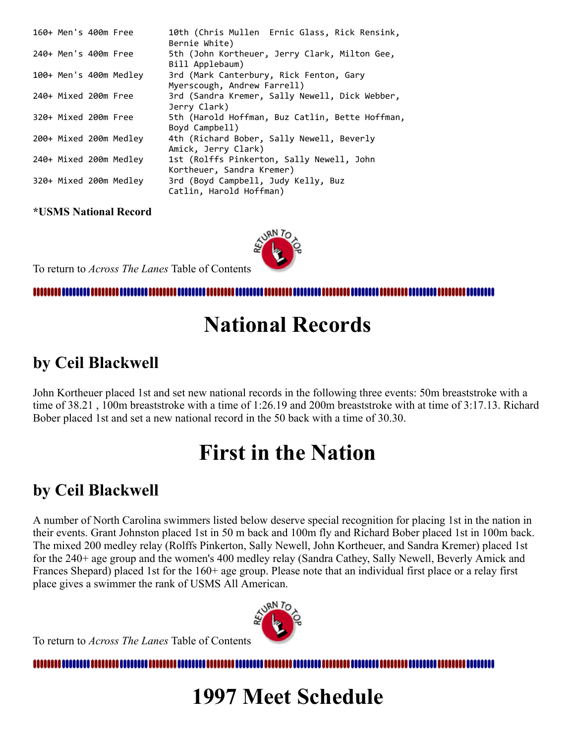| 160+ Men's 400m Free |                        | 10th (Chris Mullen Ernic Glass, Rick Rensink,<br>Bernie White)         |
|----------------------|------------------------|------------------------------------------------------------------------|
| 240+ Men's 400m Free |                        | 5th (John Kortheuer, Jerry Clark, Milton Gee,<br>Bill Applebaum)       |
|                      | 100+ Men's 400m Medley | 3rd (Mark Canterbury, Rick Fenton, Gary<br>Myerscough, Andrew Farrell) |
| 240+ Mixed 200m Free |                        | 3rd (Sandra Kremer, Sally Newell, Dick Webber,<br>Jerry Clark)         |
| 320+ Mixed 200m Free |                        | 5th (Harold Hoffman, Buz Catlin, Bette Hoffman,<br>Boyd Campbell)      |
|                      | 200+ Mixed 200m Medley | 4th (Richard Bober, Sally Newell, Beverly<br>Amick, Jerry Clark)       |
|                      | 240+ Mixed 200m Medley | 1st (Rolffs Pinkerton, Sally Newell, John<br>Kortheuer, Sandra Kremer) |
|                      | 320+ Mixed 200m Medley | 3rd (Boyd Campbell, Judy Kelly, Buz<br>Catlin, Harold Hoffman)         |

**\*USMS National Record**

To return to *Across The Lanes* Table of Contents

<span id="page-3-0"></span>,,,,,,,,,,,

## **National Records**

## **by Ceil Blackwell**

John Kortheuer placed 1st and set new national records in the following three events: 50m breaststroke with a time of 38.21 , 100m breaststroke with a time of 1:26.19 and 200m breaststroke with at time of 3:17.13. Richard Bober placed 1st and set a new national record in the 50 back with a time of 30.30.

## **First in the Nation**

## **by Ceil Blackwell**

A number of North Carolina swimmers listed below deserve special recognition for placing 1st in the nation in their events. Grant Johnston placed 1st in 50 m back and 100m fly and Richard Bober placed 1st in 100m back. The mixed 200 medley relay (Rolffs Pinkerton, Sally Newell, John Kortheuer, and Sandra Kremer) placed 1st for the 240+ age group and the women's 400 medley relay (Sandra Cathey, Sally Newell, Beverly Amick and Frances Shepard) placed 1st for the 160+ age group. Please note that an individual first place or a relay first place gives a swimmer the rank of USMS All American.



To return to *Across The Lanes* Table of Contents

<span id="page-3-1"></span>Ш

## **1997 Meet Schedule**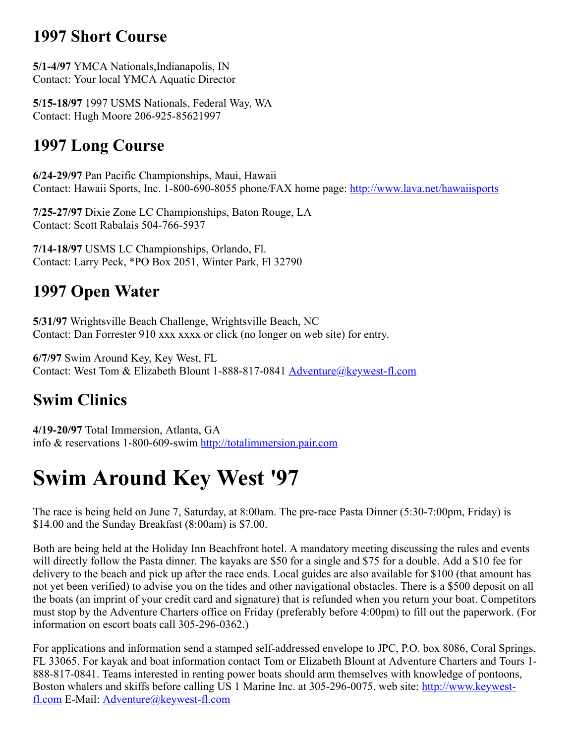### **1997 Short Course**

**5/1-4/97** YMCA Nationals,Indianapolis, IN Contact: Your local YMCA Aquatic Director

**5/15-18/97** 1997 USMS Nationals, Federal Way, WA Contact: Hugh Moore 206-925-85621997

### **1997 Long Course**

**6/24-29/97** Pan Pacific Championships, Maui, Hawaii Contact: Hawaii Sports, Inc. 1-800-690-8055 phone/FAX home page: <http://www.lava.net/hawaiisports>

**7/25-27/97** Dixie Zone LC Championships, Baton Rouge, LA Contact: Scott Rabalais 504-766-5937

**7/14-18/97** USMS LC Championships, Orlando, Fl. Contact: Larry Peck, \*PO Box 2051, Winter Park, Fl 32790

### **1997 Open Water**

**5/31/97** Wrightsville Beach Challenge, Wrightsville Beach, NC Contact: Dan Forrester 910 xxx xxxx or click (no longer on web site) for entry.

**6/7/97** Swim Around Key, Key West, FL Contact: West Tom & Elizabeth Blount 1-888-817-0841 [Adventure@keywest-fl.com](mailto:Adventure@keywest-fl.com)

## **Swim Clinics**

**4/19-20/97** Total Immersion, Atlanta, GA info & reservations 1-800-609-swim [http://totalimmersion.pair.com](http://totalimmersion.pair.com/)

## **Swim Around Key West '97**

The race is being held on June 7, Saturday, at 8:00am. The pre-race Pasta Dinner (5:30-7:00pm, Friday) is \$14.00 and the Sunday Breakfast (8:00am) is \$7.00.

Both are being held at the Holiday Inn Beachfront hotel. A mandatory meeting discussing the rules and events will directly follow the Pasta dinner. The kayaks are \$50 for a single and \$75 for a double. Add a \$10 fee for delivery to the beach and pick up after the race ends. Local guides are also available for \$100 (that amount has not yet been verified) to advise you on the tides and other navigational obstacles. There is a \$500 deposit on all the boats (an imprint of your credit card and signature) that is refunded when you return your boat. Competitors must stop by the Adventure Charters office on Friday (preferably before 4:00pm) to fill out the paperwork. (For information on escort boats call 305-296-0362.)

For applications and information send a stamped self-addressed envelope to JPC, P.O. box 8086, Coral Springs, FL 33065. For kayak and boat information contact Tom or Elizabeth Blount at Adventure Charters and Tours 1- 888-817-0841. Teams interested in renting power boats should arm themselves with knowledge of pontoons, [Boston whalers and skiffs before calling US 1 Marine Inc. at 305-296-0075. web site: http://www.keywest](http://www.keywest-fl.com/)fl.com E-Mail: **Adventure**@keywest-fl.com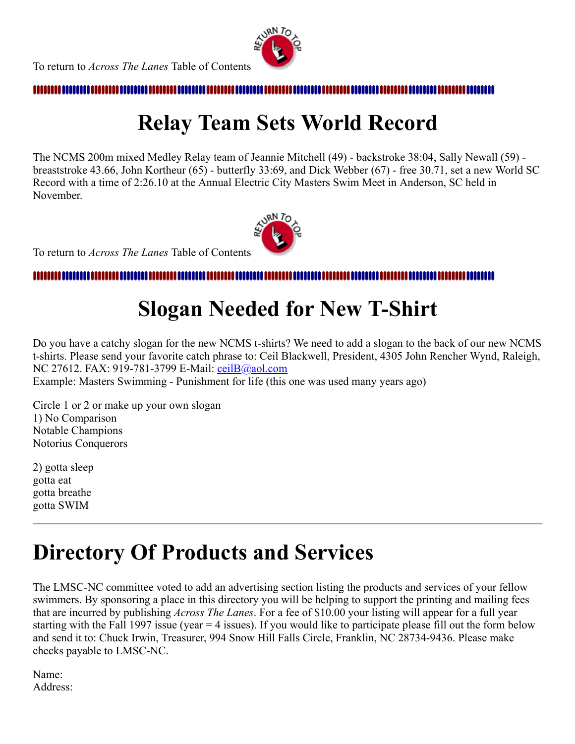

#### <span id="page-5-0"></span>,,,,,,,,,,,,,,

# **Relay Team Sets World Record**

The NCMS 200m mixed Medley Relay team of Jeannie Mitchell (49) - backstroke 38:04, Sally Newall (59) breaststroke 43.66, John Kortheur (65) - butterfly 33:69, and Dick Webber (67) - free 30.71, set a new World SC Record with a time of 2:26.10 at the Annual Electric City Masters Swim Meet in Anderson, SC held in November.



To return to *Across The Lanes* Table of Contents

#### <span id="page-5-1"></span>mmm

# **Slogan Needed for New T-Shirt**

Do you have a catchy slogan for the new NCMS t-shirts? We need to add a slogan to the back of our new NCMS t-shirts. Please send your favorite catch phrase to: Ceil Blackwell, President, 4305 John Rencher Wynd, Raleigh, NC 27612. FAX: 919-781-3799 E-Mail: [ceilB@aol.com](mailto:ceilB@aol.com)

Example: Masters Swimming - Punishment for life (this one was used many years ago)

Circle 1 or 2 or make up your own slogan 1) No Comparison Notable Champions Notorius Conquerors

2) gotta sleep gotta eat gotta breathe gotta SWIM

## **Directory Of Products and Services**

The LMSC-NC committee voted to add an advertising section listing the products and services of your fellow swimmers. By sponsoring a place in this directory you will be helping to support the printing and mailing fees that are incurred by publishing *Across The Lanes*. For a fee of \$10.00 your listing will appear for a full year starting with the Fall 1997 issue (year  $=$  4 issues). If you would like to participate please fill out the form below and send it to: Chuck Irwin, Treasurer, 994 Snow Hill Falls Circle, Franklin, NC 28734-9436. Please make checks payable to LMSC-NC.

Name: Address: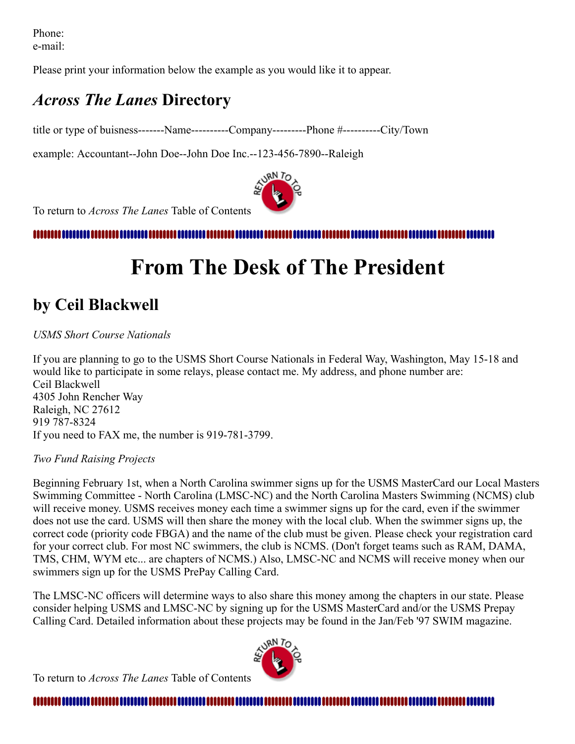Phone: e-mail:

Please print your information below the example as you would like it to appear.

### *Across The Lanes* **Directory**

title or type of buisness-------Name----------Company---------Phone #----------City/Town

example: Accountant--John Doe--John Doe Inc.--123-456-7890--Raleigh



To return to *Across The Lanes* Table of Contents

<span id="page-6-0"></span>,,,,,,,,,,,,,,,,,,,,,,,,,,,,,,,,,

## **From The Desk of The President**

## **by Ceil Blackwell**

#### *USMS Short Course Nationals*

If you are planning to go to the USMS Short Course Nationals in Federal Way, Washington, May 15-18 and would like to participate in some relays, please contact me. My address, and phone number are: Ceil Blackwell 4305 John Rencher Way Raleigh, NC 27612 919 787-8324 If you need to FAX me, the number is 919-781-3799.

#### *Two Fund Raising Projects*

Beginning February 1st, when a North Carolina swimmer signs up for the USMS MasterCard our Local Masters Swimming Committee - North Carolina (LMSC-NC) and the North Carolina Masters Swimming (NCMS) club will receive money. USMS receives money each time a swimmer signs up for the card, even if the swimmer does not use the card. USMS will then share the money with the local club. When the swimmer signs up, the correct code (priority code FBGA) and the name of the club must be given. Please check your registration card for your correct club. For most NC swimmers, the club is NCMS. (Don't forget teams such as RAM, DAMA, TMS, CHM, WYM etc... are chapters of NCMS.) Also, LMSC-NC and NCMS will receive money when our swimmers sign up for the USMS PrePay Calling Card.

The LMSC-NC officers will determine ways to also share this money among the chapters in our state. Please consider helping USMS and LMSC-NC by signing up for the USMS MasterCard and/or the USMS Prepay Calling Card. Detailed information about these projects may be found in the Jan/Feb '97 SWIM magazine.

To return to *Across The Lanes* Table of Contents



#### <span id="page-6-1"></span>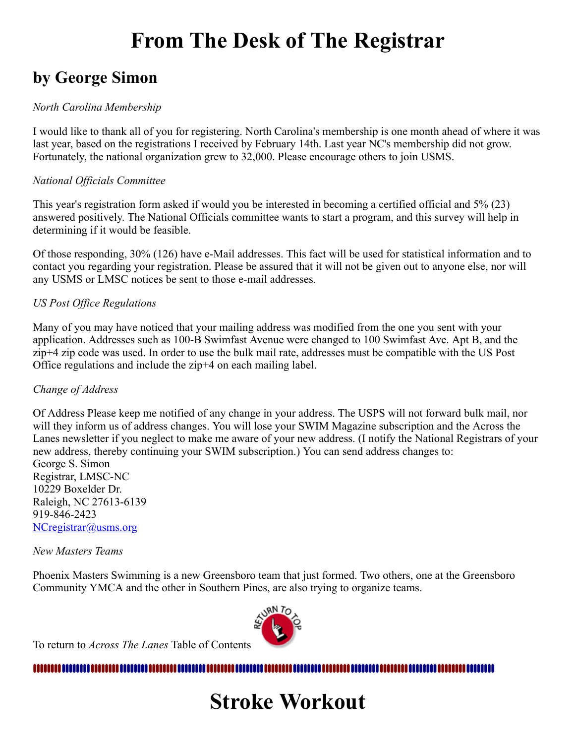## **From The Desk of The Registrar**

### **by George Simon**

#### *North Carolina Membership*

I would like to thank all of you for registering. North Carolina's membership is one month ahead of where it was last year, based on the registrations I received by February 14th. Last year NC's membership did not grow. Fortunately, the national organization grew to 32,000. Please encourage others to join USMS.

#### *National Officials Committee*

This year's registration form asked if would you be interested in becoming a certified official and 5% (23) answered positively. The National Officials committee wants to start a program, and this survey will help in determining if it would be feasible.

Of those responding, 30% (126) have e-Mail addresses. This fact will be used for statistical information and to contact you regarding your registration. Please be assured that it will not be given out to anyone else, nor will any USMS or LMSC notices be sent to those e-mail addresses.

#### *US Post Office Regulations*

Many of you may have noticed that your mailing address was modified from the one you sent with your application. Addresses such as 100-B Swimfast Avenue were changed to 100 Swimfast Ave. Apt B, and the zip+4 zip code was used. In order to use the bulk mail rate, addresses must be compatible with the US Post Office regulations and include the zip+4 on each mailing label.

#### *Change of Address*

Of Address Please keep me notified of any change in your address. The USPS will not forward bulk mail, nor will they inform us of address changes. You will lose your SWIM Magazine subscription and the Across the Lanes newsletter if you neglect to make me aware of your new address. (I notify the National Registrars of your new address, thereby continuing your SWIM subscription.) You can send address changes to:

George S. Simon Registrar, LMSC-NC 10229 Boxelder Dr. Raleigh, NC 27613-6139 919-846-2423 [NCregistrar@usms.org](mailto:NCregistrar@usms.org)

#### *New Masters Teams*

Phoenix Masters Swimming is a new Greensboro team that just formed. Two others, one at the Greensboro Community YMCA and the other in Southern Pines, are also trying to organize teams.



To return to *Across The Lanes* Table of Contents

#### <span id="page-7-0"></span>,,,,,,,,,,,,, ,,,,,,,,,,,,,,,,,,,,,,,,,,,,,

## **Stroke Workout**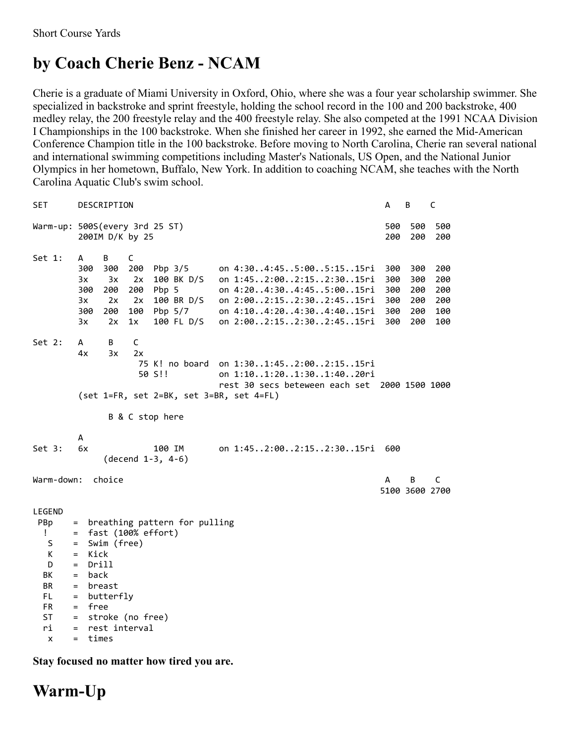## **by Coach Cherie Benz - NCAM**

Cherie is a graduate of Miami University in Oxford, Ohio, where she was a four year scholarship swimmer. She specialized in backstroke and sprint freestyle, holding the school record in the 100 and 200 backstroke, 400 medley relay, the 200 freestyle relay and the 400 freestyle relay. She also competed at the 1991 NCAA Division I Championships in the 100 backstroke. When she finished her career in 1992, she earned the Mid-American Conference Champion title in the 100 backstroke. Before moving to North Carolina, Cherie ran several national and international swimming competitions including Master's Nationals, US Open, and the National Junior Olympics in her hometown, Buffalo, New York. In addition to coaching NCAM, she teaches with the North Carolina Aquatic Club's swim school.

| SET                                                                                                                                                                                  | DESCRIPTION                                                                                                                                                                                                                                                                                                                                                                 | А                                      | В                                      | C                                      |
|--------------------------------------------------------------------------------------------------------------------------------------------------------------------------------------|-----------------------------------------------------------------------------------------------------------------------------------------------------------------------------------------------------------------------------------------------------------------------------------------------------------------------------------------------------------------------------|----------------------------------------|----------------------------------------|----------------------------------------|
|                                                                                                                                                                                      | Warm-up: 500S(every 3rd 25 ST)<br>200IM D/K by 25                                                                                                                                                                                                                                                                                                                           | 500<br>200                             | 500<br>200                             | 500<br>200                             |
| Set 1:                                                                                                                                                                               | B<br>C<br>A<br>300<br>200<br>on 4:304:455:005:1515ri<br>300<br>Pbp 3/5<br>on 1:452:002:152:3015ri<br>3x<br>3x<br>2x<br>100 BK D/S<br>on 4:204:304:455:0015ri<br>300<br>200<br>200<br>Pbp 5<br>2x<br>2x<br>100 BR D/S<br>on 2:002:152:302:4515ri<br>3x<br>300<br>200<br>100<br>Pbp 5/7<br>on 4:104:204:304:4015ri<br>100 FL D/S<br>on 2:002:152:302:4515ri<br>3x<br>2x<br>1x | 300<br>300<br>300<br>300<br>300<br>300 | 300<br>300<br>200<br>200<br>200<br>200 | 200<br>200<br>200<br>200<br>100<br>100 |
| Set 2:                                                                                                                                                                               | В<br>C<br>A<br>4x<br>3x<br>2x<br>75 K! no board on 1:301:452:002:1515ri<br>50 S!!<br>on 1:101:201:301:4020ri<br>rest 30 secs beteween each set 2000 1500 1000<br>$(set 1=FR, set 2=BK, set 3=BR, set 4=FL)$<br>B & C stop here                                                                                                                                              |                                        |                                        |                                        |
| Set 3:                                                                                                                                                                               | A<br>6x<br>on 1:452:002:152:3015ri<br>100 IM<br>$(decend 1-3, 4-6)$                                                                                                                                                                                                                                                                                                         | 600                                    |                                        |                                        |
| Warm-down:                                                                                                                                                                           | A                                                                                                                                                                                                                                                                                                                                                                           | В<br>5100 3600 2700                    | C                                      |                                        |
| LEGEND<br>PBp<br>$=$<br>Ţ.<br>$=$<br>S<br>$=$<br>К<br>$=$<br>D<br>$=$<br>BК<br>$=$<br>BR<br>$\equiv$<br>FL<br>$=$<br>FR<br>$=$<br>ST<br>$\equiv$<br>ri<br>$=$<br>$\mathsf{x}$<br>$=$ | breathing pattern for pulling<br>fast (100% effort)<br>Swim (free)<br>Kick<br>Drill<br>back<br>breast<br>butterfly<br>free<br>stroke (no free)<br>rest interval<br>times                                                                                                                                                                                                    |                                        |                                        |                                        |

**Stay focused no matter how tired you are.**

### **Warm-Up**